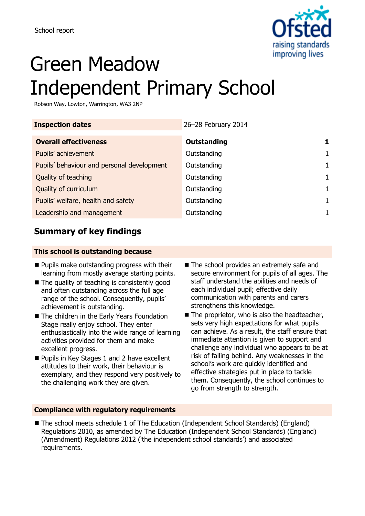

# Green Meadow Independent Primary School

Robson Way, Lowton, Warrington, WA3 2NP

| <b>Inspection dates</b>                    | 26-28 February 2014 |              |
|--------------------------------------------|---------------------|--------------|
| <b>Overall effectiveness</b>               | Outstanding         |              |
| Pupils' achievement                        | Outstanding         | $\mathbf{1}$ |
| Pupils' behaviour and personal development | Outstanding         | $\mathbf{1}$ |
| Quality of teaching                        | Outstanding         | $\mathbf{1}$ |
| Quality of curriculum                      | Outstanding         | $\mathbf{1}$ |
| Pupils' welfare, health and safety         | Outstanding         | $\mathbf{1}$ |
| Leadership and management                  | Outstanding         |              |
|                                            |                     |              |

# **Summary of key findings**

### **This school is outstanding because**

- **Pupils make outstanding progress with their** learning from mostly average starting points.
- $\blacksquare$  The quality of teaching is consistently good and often outstanding across the full age range of the school. Consequently, pupils' achievement is outstanding.
- The children in the Early Years Foundation Stage really enjoy school. They enter enthusiastically into the wide range of learning activities provided for them and make excellent progress.
- **Pupils in Key Stages 1 and 2 have excellent** attitudes to their work, their behaviour is exemplary, and they respond very positively to the challenging work they are given.
- The school provides an extremely safe and secure environment for pupils of all ages. The staff understand the abilities and needs of each individual pupil; effective daily communication with parents and carers strengthens this knowledge.
- $\blacksquare$  The proprietor, who is also the headteacher, sets very high expectations for what pupils can achieve. As a result, the staff ensure that immediate attention is given to support and challenge any individual who appears to be at risk of falling behind. Any weaknesses in the school's work are quickly identified and effective strategies put in place to tackle them. Consequently, the school continues to go from strength to strength.

### **Compliance with regulatory requirements**

■ The school meets schedule 1 of The Education (Independent School Standards) (England) Regulations 2010, as amended by The Education (Independent School Standards) (England) (Amendment) Regulations 2012 ('the independent school standards') and associated requirements.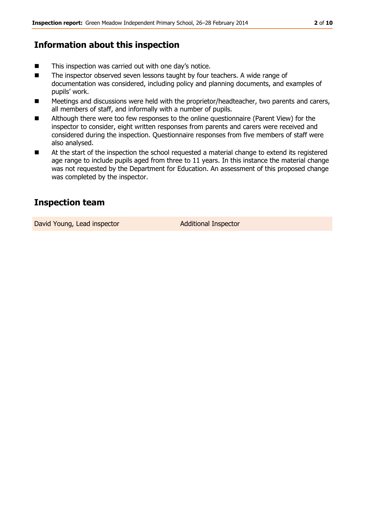### **Information about this inspection**

- This inspection was carried out with one day's notice.
- The inspector observed seven lessons taught by four teachers. A wide range of documentation was considered, including policy and planning documents, and examples of pupils' work.
- Meetings and discussions were held with the proprietor/headteacher, two parents and carers, all members of staff, and informally with a number of pupils.
- Although there were too few responses to the online questionnaire (Parent View) for the inspector to consider, eight written responses from parents and carers were received and considered during the inspection. Questionnaire responses from five members of staff were also analysed.
- At the start of the inspection the school requested a material change to extend its registered age range to include pupils aged from three to 11 years. In this instance the material change was not requested by the Department for Education. An assessment of this proposed change was completed by the inspector.

## **Inspection team**

David Young, Lead inspector and Additional Inspector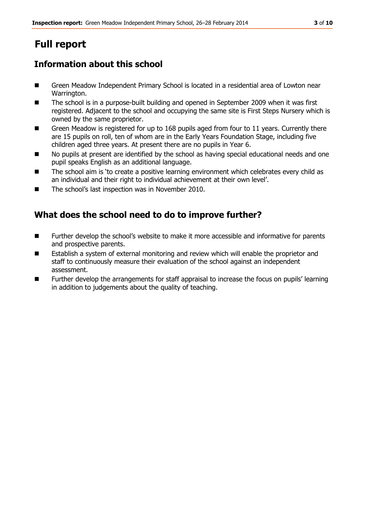# **Full report**

# **Information about this school**

- Green Meadow Independent Primary School is located in a residential area of Lowton near Warrington.
- The school is in a purpose-built building and opened in September 2009 when it was first registered. Adjacent to the school and occupying the same site is First Steps Nursery which is owned by the same proprietor.
- Green Meadow is registered for up to 168 pupils aged from four to 11 years. Currently there are 15 pupils on roll, ten of whom are in the Early Years Foundation Stage, including five children aged three years. At present there are no pupils in Year 6.
- No pupils at present are identified by the school as having special educational needs and one pupil speaks English as an additional language.
- The school aim is 'to create a positive learning environment which celebrates every child as an individual and their right to individual achievement at their own level'.
- The school's last inspection was in November 2010.

# **What does the school need to do to improve further?**

- Further develop the school's website to make it more accessible and informative for parents and prospective parents.
- Establish a system of external monitoring and review which will enable the proprietor and staff to continuously measure their evaluation of the school against an independent assessment.
- **Further develop the arrangements for staff appraisal to increase the focus on pupils' learning** in addition to judgements about the quality of teaching.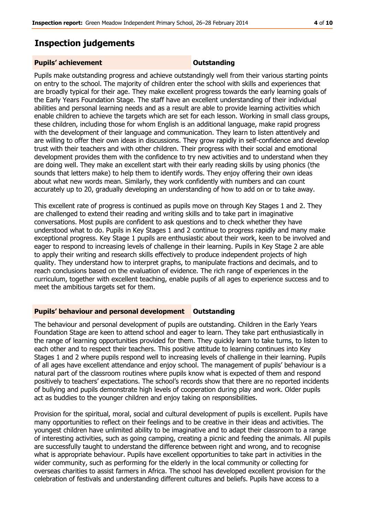# **Inspection judgements**

### **Pupils' achievement Dutstanding**

Pupils make outstanding progress and achieve outstandingly well from their various starting points on entry to the school. The majority of children enter the school with skills and experiences that are broadly typical for their age. They make excellent progress towards the early learning goals of the Early Years Foundation Stage. The staff have an excellent understanding of their individual abilities and personal learning needs and as a result are able to provide learning activities which enable children to achieve the targets which are set for each lesson. Working in small class groups, these children, including those for whom English is an additional language, make rapid progress with the development of their language and communication. They learn to listen attentively and are willing to offer their own ideas in discussions. They grow rapidly in self-confidence and develop trust with their teachers and with other children. Their progress with their social and emotional development provides them with the confidence to try new activities and to understand when they are doing well. They make an excellent start with their early reading skills by using phonics (the sounds that letters make) to help them to identify words. They enjoy offering their own ideas about what new words mean. Similarly, they work confidently with numbers and can count accurately up to 20, gradually developing an understanding of how to add on or to take away.

This excellent rate of progress is continued as pupils move on through Key Stages 1 and 2. They are challenged to extend their reading and writing skills and to take part in imaginative conversations. Most pupils are confident to ask questions and to check whether they have understood what to do. Pupils in Key Stages 1 and 2 continue to progress rapidly and many make exceptional progress. Key Stage 1 pupils are enthusiastic about their work, keen to be involved and eager to respond to increasing levels of challenge in their learning. Pupils in Key Stage 2 are able to apply their writing and research skills effectively to produce independent projects of high quality. They understand how to interpret graphs, to manipulate fractions and decimals, and to reach conclusions based on the evaluation of evidence. The rich range of experiences in the curriculum, together with excellent teaching, enable pupils of all ages to experience success and to meet the ambitious targets set for them.

### **Pupils' behaviour and personal development Outstanding**

The behaviour and personal development of pupils are outstanding. Children in the Early Years Foundation Stage are keen to attend school and eager to learn. They take part enthusiastically in the range of learning opportunities provided for them. They quickly learn to take turns, to listen to each other and to respect their teachers. This positive attitude to learning continues into Key Stages 1 and 2 where pupils respond well to increasing levels of challenge in their learning. Pupils of all ages have excellent attendance and enjoy school. The management of pupils' behaviour is a natural part of the classroom routines where pupils know what is expected of them and respond positively to teachers' expectations. The school's records show that there are no reported incidents of bullying and pupils demonstrate high levels of cooperation during play and work. Older pupils act as buddies to the younger children and enjoy taking on responsibilities.

Provision for the spiritual, moral, social and cultural development of pupils is excellent. Pupils have many opportunities to reflect on their feelings and to be creative in their ideas and activities. The youngest children have unlimited ability to be imaginative and to adapt their classroom to a range of interesting activities, such as going camping, creating a picnic and feeding the animals. All pupils are successfully taught to understand the difference between right and wrong, and to recognise what is appropriate behaviour. Pupils have excellent opportunities to take part in activities in the wider community, such as performing for the elderly in the local community or collecting for overseas charities to assist farmers in Africa. The school has developed excellent provision for the celebration of festivals and understanding different cultures and beliefs. Pupils have access to a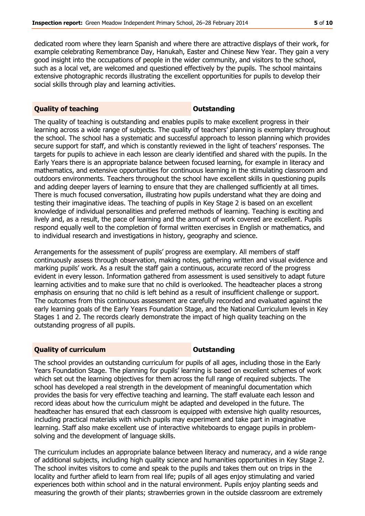dedicated room where they learn Spanish and where there are attractive displays of their work, for example celebrating Remembrance Day, Hanukah, Easter and Chinese New Year. They gain a very good insight into the occupations of people in the wider community, and visitors to the school, such as a local vet, are welcomed and questioned effectively by the pupils. The school maintains extensive photographic records illustrating the excellent opportunities for pupils to develop their social skills through play and learning activities.

### **Quality of teaching COUNTING COULD ATTENT ATTACK COULD ATTACK ATTACK COULD ATTACK COULD ATTACK COULD ATTACK COULD ATTACK COULD ATTACK COULD ATTACK COULD ATTACK COULD ATTACK COULD ATTACK COULD ATTACK COULD ATTACK COULD A**

The quality of teaching is outstanding and enables pupils to make excellent progress in their learning across a wide range of subjects. The quality of teachers' planning is exemplary throughout the school. The school has a systematic and successful approach to lesson planning which provides secure support for staff, and which is constantly reviewed in the light of teachers' responses. The targets for pupils to achieve in each lesson are clearly identified and shared with the pupils. In the Early Years there is an appropriate balance between focused learning, for example in literacy and mathematics, and extensive opportunities for continuous learning in the stimulating classroom and outdoors environments. Teachers throughout the school have excellent skills in questioning pupils and adding deeper layers of learning to ensure that they are challenged sufficiently at all times. There is much focused conversation, illustrating how pupils understand what they are doing and testing their imaginative ideas. The teaching of pupils in Key Stage 2 is based on an excellent knowledge of individual personalities and preferred methods of learning. Teaching is exciting and lively and, as a result, the pace of learning and the amount of work covered are excellent. Pupils respond equally well to the completion of formal written exercises in English or mathematics, and to individual research and investigations in history, geography and science.

Arrangements for the assessment of pupils' progress are exemplary. All members of staff continuously assess through observation, making notes, gathering written and visual evidence and marking pupils' work. As a result the staff gain a continuous, accurate record of the progress evident in every lesson. Information gathered from assessment is used sensitively to adapt future learning activities and to make sure that no child is overlooked. The headteacher places a strong emphasis on ensuring that no child is left behind as a result of insufficient challenge or support. The outcomes from this continuous assessment are carefully recorded and evaluated against the early learning goals of the Early Years Foundation Stage, and the National Curriculum levels in Key Stages 1 and 2. The records clearly demonstrate the impact of high quality teaching on the outstanding progress of all pupils.

### **Quality of curriculum COUNTER ACCOUNTS Outstanding**

The school provides an outstanding curriculum for pupils of all ages, including those in the Early Years Foundation Stage. The planning for pupils' learning is based on excellent schemes of work which set out the learning objectives for them across the full range of required subjects. The school has developed a real strength in the development of meaningful documentation which provides the basis for very effective teaching and learning. The staff evaluate each lesson and record ideas about how the curriculum might be adapted and developed in the future. The headteacher has ensured that each classroom is equipped with extensive high quality resources, including practical materials with which pupils may experiment and take part in imaginative learning. Staff also make excellent use of interactive whiteboards to engage pupils in problemsolving and the development of language skills.

The curriculum includes an appropriate balance between literacy and numeracy, and a wide range of additional subjects, including high quality science and humanities opportunities in Key Stage 2. The school invites visitors to come and speak to the pupils and takes them out on trips in the locality and further afield to learn from real life; pupils of all ages enjoy stimulating and varied experiences both within school and in the natural environment. Pupils enjoy planting seeds and measuring the growth of their plants; strawberries grown in the outside classroom are extremely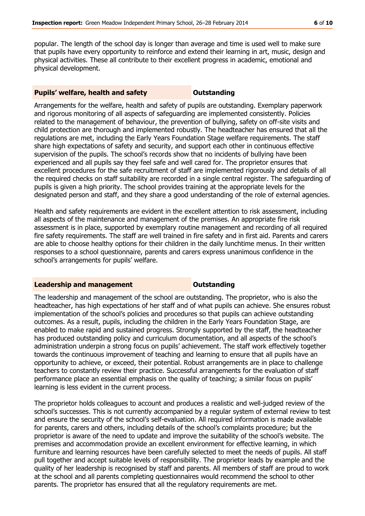popular. The length of the school day is longer than average and time is used well to make sure that pupils have every opportunity to reinforce and extend their learning in art, music, design and physical activities. These all contribute to their excellent progress in academic, emotional and physical development.

### **Pupils' welfare, health and safety <b>CONTENS** Outstanding

Arrangements for the welfare, health and safety of pupils are outstanding. Exemplary paperwork and rigorous monitoring of all aspects of safeguarding are implemented consistently. Policies related to the management of behaviour, the prevention of bullying, safety on off-site visits and child protection are thorough and implemented robustly. The headteacher has ensured that all the regulations are met, including the Early Years Foundation Stage welfare requirements. The staff share high expectations of safety and security, and support each other in continuous effective supervision of the pupils. The school's records show that no incidents of bullying have been experienced and all pupils say they feel safe and well cared for. The proprietor ensures that excellent procedures for the safe recruitment of staff are implemented rigorously and details of all the required checks on staff suitability are recorded in a single central register. The safeguarding of pupils is given a high priority. The school provides training at the appropriate levels for the designated person and staff, and they share a good understanding of the role of external agencies.

Health and safety requirements are evident in the excellent attention to risk assessment, including all aspects of the maintenance and management of the premises. An appropriate fire risk assessment is in place, supported by exemplary routine management and recording of all required fire safety requirements. The staff are well trained in fire safety and in first aid. Parents and carers are able to choose healthy options for their children in the daily lunchtime menus. In their written responses to a school questionnaire, parents and carers express unanimous confidence in the school's arrangements for pupils' welfare.

### **Leadership and management COULTER COULTS** Outstanding

The leadership and management of the school are outstanding. The proprietor, who is also the headteacher, has high expectations of her staff and of what pupils can achieve. She ensures robust implementation of the school's policies and procedures so that pupils can achieve outstanding outcomes. As a result, pupils, including the children in the Early Years Foundation Stage, are enabled to make rapid and sustained progress. Strongly supported by the staff, the headteacher has produced outstanding policy and curriculum documentation, and all aspects of the school's administration underpin a strong focus on pupils' achievement. The staff work effectively together towards the continuous improvement of teaching and learning to ensure that all pupils have an opportunity to achieve, or exceed, their potential. Robust arrangements are in place to challenge teachers to constantly review their practice. Successful arrangements for the evaluation of staff performance place an essential emphasis on the quality of teaching; a similar focus on pupils' learning is less evident in the current process.

The proprietor holds colleagues to account and produces a realistic and well-judged review of the school's successes. This is not currently accompanied by a regular system of external review to test and ensure the security of the school's self-evaluation. All required information is made available for parents, carers and others, including details of the school's complaints procedure; but the proprietor is aware of the need to update and improve the suitability of the school's website. The premises and accommodation provide an excellent environment for effective learning, in which furniture and learning resources have been carefully selected to meet the needs of pupils. All staff pull together and accept suitable levels of responsibility. The proprietor leads by example and the quality of her leadership is recognised by staff and parents. All members of staff are proud to work at the school and all parents completing questionnaires would recommend the school to other parents. The proprietor has ensured that all the regulatory requirements are met.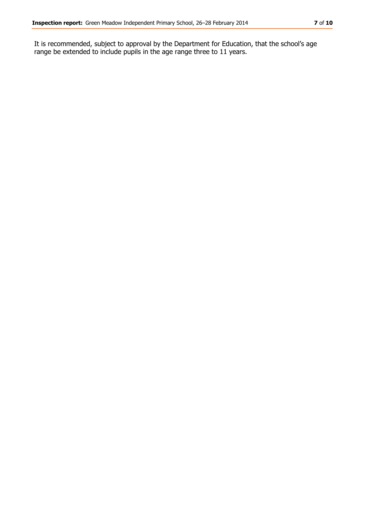It is recommended, subject to approval by the Department for Education, that the school's age range be extended to include pupils in the age range three to 11 years.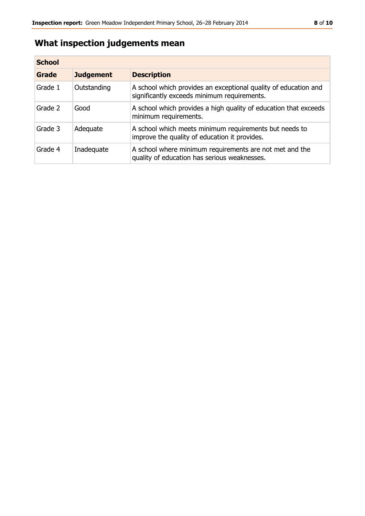# **What inspection judgements mean**

| <b>School</b> |                  |                                                                                                                |
|---------------|------------------|----------------------------------------------------------------------------------------------------------------|
| Grade         | <b>Judgement</b> | <b>Description</b>                                                                                             |
| Grade 1       | Outstanding      | A school which provides an exceptional quality of education and<br>significantly exceeds minimum requirements. |
| Grade 2       | Good             | A school which provides a high quality of education that exceeds<br>minimum requirements.                      |
| Grade 3       | Adequate         | A school which meets minimum requirements but needs to<br>improve the quality of education it provides.        |
| Grade 4       | Inadequate       | A school where minimum requirements are not met and the<br>quality of education has serious weaknesses.        |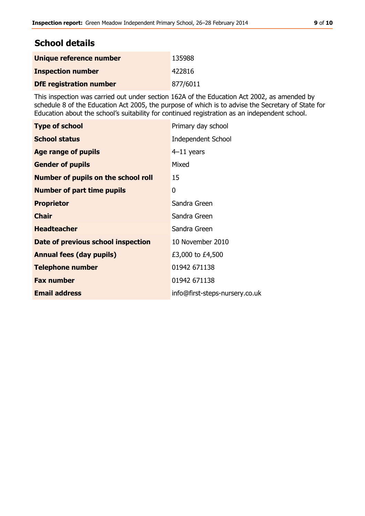# **School details**

| Unique reference number        | 135988   |
|--------------------------------|----------|
| <b>Inspection number</b>       | 422816   |
| <b>DfE</b> registration number | 877/6011 |

This inspection was carried out under section 162A of the Education Act 2002, as amended by schedule 8 of the Education Act 2005, the purpose of which is to advise the Secretary of State for Education about the school's suitability for continued registration as an independent school.

| <b>Type of school</b>                      | Primary day school             |
|--------------------------------------------|--------------------------------|
| <b>School status</b>                       | <b>Independent School</b>      |
| Age range of pupils                        | $4-11$ years                   |
| <b>Gender of pupils</b>                    | Mixed                          |
| <b>Number of pupils on the school roll</b> | 15                             |
| <b>Number of part time pupils</b>          | 0                              |
| <b>Proprietor</b>                          | Sandra Green                   |
| <b>Chair</b>                               | Sandra Green                   |
| <b>Headteacher</b>                         | Sandra Green                   |
| Date of previous school inspection         | 10 November 2010               |
| <b>Annual fees (day pupils)</b>            | £3,000 to £4,500               |
| <b>Telephone number</b>                    | 01942 671138                   |
| <b>Fax number</b>                          | 01942 671138                   |
| <b>Email address</b>                       | info@first-steps-nursery.co.uk |